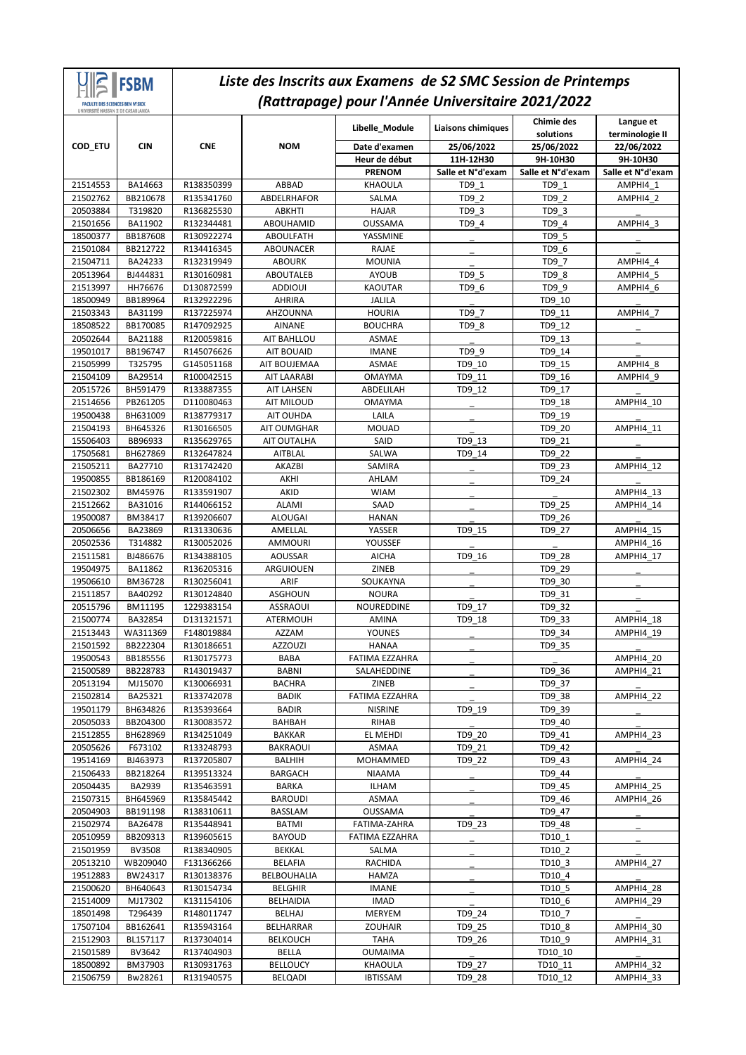| <b>FACULTE DES SCIENCES BEN M'SICK</b>        | <b>IFSBM</b>         |                          | Liste des Inscrits aux Examens de S2 SMC Session de Printemps | (Rattrapage) pour l'Année Universitaire 2021/2022 |                                         |                                              |                                            |
|-----------------------------------------------|----------------------|--------------------------|---------------------------------------------------------------|---------------------------------------------------|-----------------------------------------|----------------------------------------------|--------------------------------------------|
| UNIVERSITÉ HASSAN II DE CASARLANCA<br>COD_ETU | <b>CIN</b>           | <b>CNE</b>               | <b>NOM</b>                                                    | Libelle_Module<br>Date d'examen                   | <b>Liaisons chimiques</b><br>25/06/2022 | <b>Chimie des</b><br>solutions<br>25/06/2022 | Langue et<br>terminologie II<br>22/06/2022 |
|                                               |                      |                          |                                                               | Heur de début                                     | 11H-12H30                               | 9H-10H30                                     | 9H-10H30                                   |
|                                               |                      |                          |                                                               | <b>PRENOM</b>                                     | Salle et N°d'exam                       | Salle et N°d'exam                            | Salle et N°d'exam                          |
| 21514553                                      | BA14663              | R138350399               | ABBAD                                                         | <b>KHAOULA</b>                                    | TD9 1                                   | TD9 1                                        | AMPHI4 1                                   |
| 21502762                                      | BB210678             | R135341760               | <b>ABDELRHAFOR</b>                                            | SALMA                                             | TD9 2                                   | TD9 2                                        | AMPHI4 2                                   |
| 20503884                                      | T319820              | R136825530               | <b>ABKHTI</b>                                                 | <b>HAJAR</b>                                      | TD9 3                                   | TD9 3                                        |                                            |
| 21501656                                      | BA11902              | R132344481               | ABOUHAMID                                                     | <b>OUSSAMA</b>                                    | TD9 4                                   | TD9 4                                        | AMPHI4 3                                   |
| 18500377                                      | BB187608             | R130922274               | <b>ABOULFATH</b>                                              | YASSMINE                                          |                                         | TD9 5                                        |                                            |
| 21501084                                      | BB212722             | R134416345               | ABOUNACER                                                     | <b>RAJAE</b>                                      |                                         | TD9 6                                        |                                            |
| 21504711                                      | BA24233              | R132319949               | <b>ABOURK</b>                                                 | <b>MOUNIA</b>                                     |                                         | TD9 7                                        | AMPHI4 4                                   |
| 20513964<br>21513997                          | BJ444831<br>HH76676  | R130160981<br>D130872599 | ABOUTALEB<br><b>ADDIOUI</b>                                   | <b>AYOUB</b><br><b>KAOUTAR</b>                    | TD9 5<br>TD9 6                          | TD9 8                                        | AMPHI4 5<br>AMPHI4 6                       |
| 18500949                                      | BB189964             | R132922296               | <b>AHRIRA</b>                                                 | <b>JALILA</b>                                     |                                         | TD9_9<br>TD9 10                              |                                            |
| 21503343                                      | BA31199              | R137225974               | AHZOUNNA                                                      | <b>HOURIA</b>                                     | TD9 7                                   | TD9 11                                       | AMPHI4 7                                   |
| 18508522                                      | BB170085             | R147092925               | <b>AINANE</b>                                                 | BOUCHRA                                           | TD9 8                                   | TD9 12                                       |                                            |
| 20502644                                      | BA21188              | R120059816               | AIT BAHLLOU                                                   | <b>ASMAE</b>                                      |                                         | TD9 13                                       |                                            |
| 19501017                                      | BB196747             | R145076626               | <b>AIT BOUAID</b>                                             | <b>IMANE</b>                                      | TD9 9                                   | TD9 14                                       |                                            |
| 21505999                                      | T325795              | G145051168               | AIT BOUJEMAA                                                  | ASMAE                                             | TD9 10                                  | TD9 15                                       | AMPHI4 8                                   |
| 21504109                                      | BA29514              | R100042515               | <b>AIT LAARABI</b>                                            | <b>OMAYMA</b>                                     | TD9 11                                  | TD9 16                                       | AMPHI4 9                                   |
| 20515726                                      | BH591479             | R133887355               | <b>AIT LAHSEN</b>                                             | ABDELILAH                                         | TD9 12                                  | TD9 17                                       |                                            |
| 21514656                                      | PB261205             | D110080463               | AIT MILOUD                                                    | OMAYMA                                            |                                         | TD9 18                                       | AMPHI4 10                                  |
| 19500438                                      | BH631009             | R138779317               | AIT OUHDA                                                     | LAILA                                             |                                         | TD9 19                                       |                                            |
| 21504193                                      | BH645326             | R130166505               | <b>AIT OUMGHAR</b>                                            | <b>MOUAD</b>                                      |                                         | TD9 20                                       | AMPHI4 11                                  |
| 15506403                                      | BB96933              | R135629765               | AIT OUTALHA                                                   | SAID                                              | TD9 13                                  | TD9 21                                       |                                            |
| 17505681                                      | BH627869             | R132647824               | <b>AITBLAL</b>                                                | SALWA                                             | TD9 14                                  | TD9 22                                       |                                            |
| 21505211<br>19500855                          | BA27710              | R131742420               | <b>AKAZBI</b>                                                 | SAMIRA<br>AHLAM                                   |                                         | TD9 23<br>TD9 24                             | AMPHI4 12                                  |
| 21502302                                      | BB186169<br>BM45976  | R120084102<br>R133591907 | AKHI<br>AKID                                                  | <b>WIAM</b>                                       |                                         |                                              | AMPHI4 13                                  |
| 21512662                                      | BA31016              | R144066152               | <b>ALAMI</b>                                                  | <b>SAAD</b>                                       |                                         | TD9 25                                       | AMPHI4 14                                  |
| 19500087                                      | BM38417              | R139206607               | <b>ALOUGAI</b>                                                | <b>HANAN</b>                                      |                                         | TD9 26                                       |                                            |
| 20506656                                      | BA23869              | R131330636               | AMELLAL                                                       | YASSER                                            | TD9 15                                  | TD9 27                                       | AMPHI4 15                                  |
| 20502536                                      | T314882              | R130052026               | <b>AMMOURI</b>                                                | YOUSSEF                                           |                                         |                                              | AMPHI4 16                                  |
| 21511581                                      | BJ486676             | R134388105               | <b>AOUSSAR</b>                                                | <b>AICHA</b>                                      | TD9 16                                  | TD9 28                                       | AMPHI4 17                                  |
| 19504975                                      | BA11862              | R136205316               | ARGUIOUEN                                                     | ZINEB                                             |                                         | TD9 29                                       |                                            |
| 19506610                                      | BM36728              | R130256041               | ARIF                                                          | SOUKAYNA                                          |                                         | TD9 30                                       |                                            |
| 21511857                                      | BA40292              | R130124840               | ASGHOUN                                                       | <b>NOURA</b>                                      |                                         | TD9 31                                       |                                            |
| 20515796                                      | BM11195              | 1229383154               | <b>ASSRAOUI</b>                                               | NOUREDDINE                                        | TD9 17                                  | TD9 32                                       |                                            |
| 21500774                                      | BA32854              | D131321571               | <b>ATERMOUH</b>                                               | <b>AMINA</b>                                      | TD9 18                                  | TD9 33                                       | AMPHI4 18                                  |
| 21513443<br>21501592                          | WA311369             | F148019884               | AZZAM                                                         | YOUNES                                            |                                         | TD9_34                                       | AMPHI4_19                                  |
| 19500543                                      | BB222304<br>BB185556 | R130186651<br>R130175773 | AZZOUZI<br>BABA                                               | HANAA<br>FATIMA EZZAHRA                           |                                         | TD9 35                                       | AMPHI4 20                                  |
| 21500589                                      | BB228783             | R143019437               | <b>BABNI</b>                                                  | SALAHEDDINE                                       |                                         | TD9_36                                       | AMPHI4 21                                  |
| 20513194                                      | MJ15070              | K130066931               | <b>BACHRA</b>                                                 | ZINEB                                             |                                         | TD9 37                                       |                                            |
| 21502814                                      | BA25321              | R133742078               | <b>BADIK</b>                                                  | FATIMA EZZAHRA                                    |                                         | TD9 38                                       | AMPHI4 22                                  |
| 19501179                                      | BH634826             | R135393664               | <b>BADIR</b>                                                  | <b>NISRINE</b>                                    | TD9 19                                  | TD9_39                                       |                                            |
| 20505033                                      | BB204300             | R130083572               | BAHBAH                                                        | RIHAB                                             |                                         | TD9 40                                       |                                            |
| 21512855                                      | BH628969             | R134251049               | BAKKAR                                                        | EL MEHDI                                          | TD9_20                                  | TD9_41                                       | AMPHI4 23                                  |
| 20505626                                      | F673102              | R133248793               | BAKRAOUI                                                      | ASMAA                                             | TD9 21                                  | TD9 42                                       |                                            |
| 19514169                                      | BJ463973             | R137205807               | BALHIH                                                        | MOHAMMED                                          | TD9_22                                  | TD9 43                                       | AMPHI4_24                                  |
| 21506433                                      | BB218264             | R139513324               | <b>BARGACH</b>                                                | <b>NIAAMA</b>                                     |                                         | TD9 44                                       |                                            |
| 20504435                                      | BA2939               | R135463591               | <b>BARKA</b>                                                  | ILHAM                                             |                                         | TD9 45                                       | AMPHI4_25<br>AMPHI4 26                     |
| 21507315                                      | BH645969             | R135845442               | <b>BAROUDI</b>                                                | ASMAA                                             |                                         | TD9_46                                       |                                            |
| 20504903<br>21502974                          | BB191198<br>BA26478  | R138310611<br>R135448941 | BASSLAM<br><b>BATMI</b>                                       | OUSSAMA<br>FATIMA-ZAHRA                           | TD9_23                                  | TD9 47<br>TD9 48                             |                                            |
| 20510959                                      | BB209313             | R139605615               | <b>BAYOUD</b>                                                 | FATIMA EZZAHRA                                    |                                         | TD10_1                                       |                                            |
| 21501959                                      | <b>BV3508</b>        | R138340905               | <b>BEKKAL</b>                                                 | SALMA                                             |                                         | TD10 2                                       |                                            |
| 20513210                                      | WB209040             | F131366266               | BELAFIA                                                       | <b>RACHIDA</b>                                    |                                         | TD10 3                                       | AMPHI4 27                                  |
| 19512883                                      | BW24317              | R130138376               | BELBOUHALIA                                                   | HAMZA                                             |                                         | TD10_4                                       |                                            |
| 21500620                                      | BH640643             | R130154734               | <b>BELGHIR</b>                                                | <b>IMANE</b>                                      |                                         | TD10 5                                       | AMPHI4_28                                  |
| 21514009                                      | MJ17302              | K131154106               | <b>BELHAIDIA</b>                                              | IMAD                                              |                                         | TD10_6                                       | AMPHI4 29                                  |
| 18501498                                      | T296439              | R148011747               | BELHAJ                                                        | MERYEM                                            | TD9 24                                  | TD10_7                                       |                                            |
| 17507104                                      | BB162641             | R135943164               | BELHARRAR                                                     | <b>ZOUHAIR</b>                                    | TD9 25                                  | TD10 8                                       | AMPHI4_30                                  |
| 21512903                                      | BL157117             | R137304014               | <b>BELKOUCH</b>                                               | <b>TAHA</b>                                       | TD9 26                                  | TD10 9                                       | AMPHI4 31                                  |
| 21501589                                      | BV3642               | R137404903               | <b>BELLA</b>                                                  | <b>OUMAIMA</b>                                    |                                         | TD10_10                                      |                                            |
| 18500892                                      | BM37903              | R130931763               | <b>BELLOUCY</b>                                               | KHAOULA                                           | TD9_27                                  | TD10_11                                      | AMPHI4_32                                  |
| 21506759                                      | Bw28261              | R131940575               | <b>BELQADI</b>                                                | <b>IBTISSAM</b>                                   | TD9 28                                  | TD10 12                                      | AMPHI4 33                                  |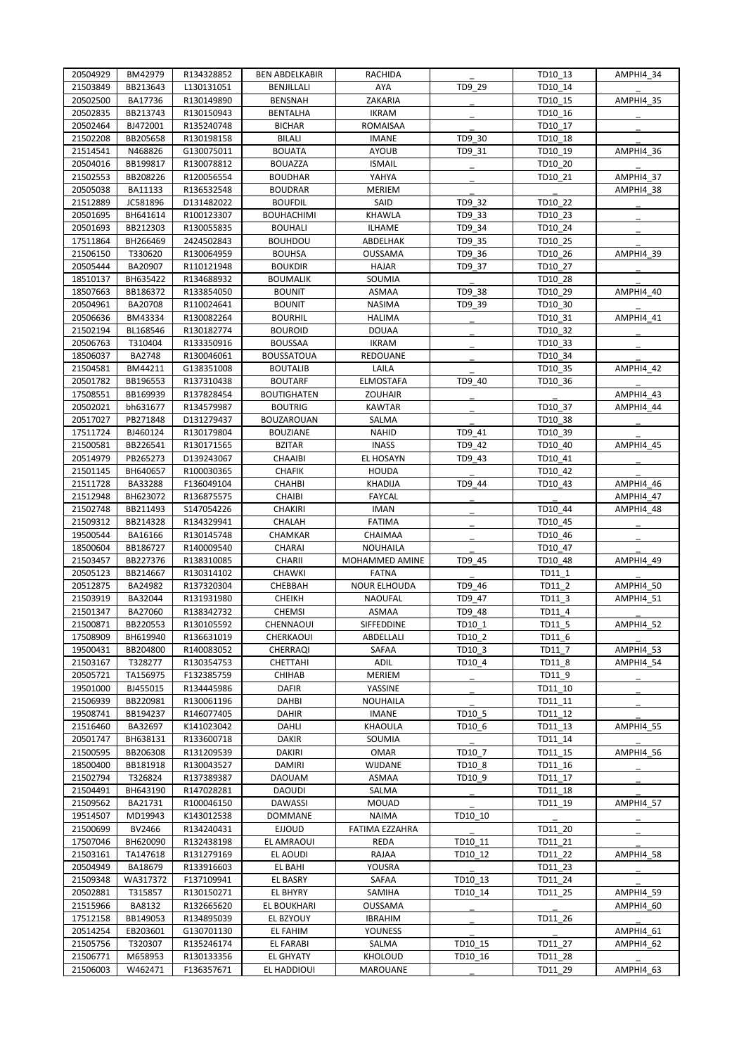| 20504929             | BM42979  | R134328852               | <b>BEN ABDELKABIR</b> | RACHIDA                      |         | TD10 13 | AMPHI4 34        |
|----------------------|----------|--------------------------|-----------------------|------------------------------|---------|---------|------------------|
| 21503849             | BB213643 | L130131051               | BENJILLALI            | AYA                          | TD9_29  | TD10 14 |                  |
| 20502500             | BA17736  | R130149890               | <b>BENSNAH</b>        | ZAKARIA                      |         | TD10 15 | AMPHI4 35        |
| 20502835             | BB213743 | R130150943               | <b>BENTALHA</b>       | <b>IKRAM</b>                 |         | TD10_16 |                  |
| 20502464             | BJ472001 | R135240748               | <b>BICHAR</b>         | ROMAISAA                     |         | TD10 17 |                  |
| 21502208             | BB205658 | R130198158               | <b>BILALI</b>         | <b>IMANE</b>                 | TD9 30  | TD10 18 |                  |
| 21514541             | N468826  | G130075011               | <b>BOUATA</b>         | <b>AYOUB</b>                 | TD9 31  | TD10_19 | AMPHI4_36        |
| 20504016             | BB199817 | R130078812               | <b>BOUAZZA</b>        | <b>ISMAIL</b>                |         | TD10 20 |                  |
| 21502553             | BB208226 | R120056554               | <b>BOUDHAR</b>        | YAHYA                        |         | TD10 21 | AMPHI4_37        |
| 20505038             | BA11133  | R136532548               | <b>BOUDRAR</b>        | <b>MERIEM</b>                |         |         | AMPHI4 38        |
| 21512889             | JC581896 | D131482022               | <b>BOUFDIL</b>        | SAID                         | TD9 32  | TD10_22 |                  |
| 20501695             | BH641614 | R100123307               | <b>BOUHACHIMI</b>     | KHAWLA                       | TD9_33  | TD10 23 |                  |
| 20501693             | BB212303 | R130055835               | <b>BOUHALI</b>        | <b>ILHAME</b>                | TD9 34  | TD10 24 |                  |
| 17511864             | BH266469 | 2424502843               | <b>BOUHDOU</b>        | ABDELHAK                     | TD9_35  | TD10_25 |                  |
| 21506150             | T330620  | R130064959               | <b>BOUHSA</b>         | <b>OUSSAMA</b>               | TD9 36  | TD10 26 | AMPHI4_39        |
| 20505444             | BA20907  | R110121948               | <b>BOUKDIR</b>        | <b>HAJAR</b>                 | TD9 37  | TD10 27 |                  |
| 18510137             | BH635422 | R134688932               | <b>BOUMALIK</b>       | SOUMIA                       |         | TD10_28 |                  |
| 18507663             | BB186372 | R133854050               | <b>BOUNIT</b>         | ASMAA                        | TD9 38  | TD10 29 | AMPHI4 40        |
| 20504961             | BA20708  | R110024641               | <b>BOUNIT</b>         | <b>NASIMA</b>                | TD9 39  | TD10 30 |                  |
| 20506636             | BM43334  | R130082264               | <b>BOURHIL</b>        | <b>HALIMA</b>                |         | TD10_31 | AMPHI4_41        |
| 21502194             | BL168546 | R130182774               | <b>BOUROID</b>        | <b>DOUAA</b>                 |         | TD10 32 |                  |
| 20506763             | T310404  | R133350916               | <b>BOUSSAA</b>        | <b>IKRAM</b>                 |         | TD10_33 |                  |
|                      |          |                          |                       |                              |         |         |                  |
| 18506037             | BA2748   | R130046061               | <b>BOUSSATOUA</b>     | REDOUANE                     |         | TD10 34 |                  |
| 21504581             | BM44211  | G138351008               | <b>BOUTALIB</b>       | LAILA                        |         | TD10_35 | AMPHI4_42        |
| 20501782             | BB196553 | R137310438               | <b>BOUTARF</b>        | <b>ELMOSTAFA</b>             | TD9 40  | TD10 36 |                  |
| 17508551             | BB169939 | R137828454               | <b>BOUTIGHATEN</b>    | ZOUHAIR                      |         |         | AMPHI4_43        |
| 20502021             | bh631677 | R134579987               | <b>BOUTRIG</b>        | <b>KAWTAR</b>                |         | TD10 37 | AMPHI4_44        |
| 20517027             | PB271848 | D131279437               | <b>BOUZAROUAN</b>     | SALMA                        |         | TD10 38 |                  |
| 17511724             | BJ460124 | R130179804               | <b>BOUZIANE</b>       | <b>NAHID</b>                 | TD9 41  | TD10 39 |                  |
| 21500581             | BB226541 | R130171565               | <b>BZITAR</b>         | <b>INASS</b>                 | TD9 42  | TD10 40 | AMPHI4 45        |
| 20514979             | PB265273 | D139243067               | CHAAIBI               | EL HOSAYN                    | TD9 43  | TD10_41 |                  |
| 21501145             | BH640657 | R100030365               | <b>CHAFIK</b>         | <b>HOUDA</b>                 |         | TD10 42 |                  |
| 21511728             | BA33288  | F136049104               | <b>CHAHBI</b>         | <b>KHADIJA</b>               | TD9 44  | TD10 43 | AMPHI4_46        |
| 21512948             | BH623072 | R136875575               | <b>CHAIBI</b>         | <b>FAYCAL</b>                |         |         | AMPHI4_47        |
| 21502748             | BB211493 | S147054226               | CHAKIRI               | <b>IMAN</b>                  |         | TD10 44 | AMPHI4 48        |
| 21509312             | BB214328 | R134329941               | CHALAH                | <b>FATIMA</b>                |         | TD10 45 |                  |
| 19500544             | BA16166  | R130145748               | CHAMKAR               | CHAIMAA                      |         | TD10 46 |                  |
| 18500604             | BB186727 | R140009540               | CHARAI                | <b>NOUHAILA</b>              |         | TD10_47 |                  |
| 21503457             | BB227376 | R138310085               | CHARII                | MOHAMMED AMINE               | TD9 45  | TD10 48 | AMPHI4 49        |
| 20505123             | BB214667 | R130314102               | CHAWKI                | <b>FATNA</b>                 |         | TD11 1  |                  |
| 20512875             | BA24982  | R137320304               | CHEBBAH               | <b>NOUR ELHOUDA</b>          | TD9 46  | TD11_2  | AMPHI4_50        |
| 21503919             | BA32044  | R131931980               | <b>CHEIKH</b>         | <b>NAOUFAL</b>               | TD9 47  | TD11 3  | AMPHI4_51        |
| 21501347             | BA27060  | R138342732               | <b>CHEMSI</b>         | ASMAA                        | TD9_48  | TD11 4  |                  |
| 21500871             | BB220553 | R130105592               | CHENNAOUI             | SIFFEDDINE                   | TD10 1  | TD11 5  | AMPHI4 52        |
| 17508909             | BH619940 | R136631019               | CHERKAOUI             | ABDELLALI                    | TD10 2  | TD11 6  |                  |
| 19500431             | BB204800 | R140083052               | <b>CHERRAQI</b>       | SAFAA                        | TD10 3  | TD11 7  | AMPHI4 53        |
| 21503167             | T328277  | R130354753               | CHETTAHI              | ADIL                         | TD10 4  | TD11_8  | AMPHI4 54        |
| 20505721             | TA156975 | F132385759               | CHIHAB                | <b>MERIEM</b>                |         | TD11_9  |                  |
| 19501000             | BJ455015 | R134445986               | <b>DAFIR</b>          | YASSINE                      |         | TD11 10 |                  |
| 21506939             | BB220981 | R130061196               | DAHBI                 | <b>NOUHAILA</b>              |         | TD11_11 |                  |
| 19508741             | BB194237 | R146077405               | DAHIR                 | <b>IMANE</b>                 | TD10 5  | TD11_12 |                  |
| 21516460             | BA32697  | K141023042               | DAHLI                 | KHAOULA                      | TD10 6  | TD11 13 | AMPHI4_55        |
| 20501747             | BH638131 | R133600718               | <b>DAKIR</b>          | SOUMIA                       |         | TD11 14 |                  |
| 21500595             | BB206308 | R131209539               | <b>DAKIRI</b>         | OMAR                         | TD10 7  | TD11_15 | AMPHI4 56        |
| 18500400             | BB181918 | R130043527               | <b>DAMIRI</b>         | WIJDANE                      | TD10 8  | TD11 16 |                  |
| 21502794             | T326824  | R137389387               | <b>DAOUAM</b>         | ASMAA                        | TD10 9  | TD11 17 |                  |
| 21504491             | BH643190 | R147028281               | <b>DAOUDI</b>         | SALMA                        |         | TD11 18 |                  |
|                      | BA21731  |                          |                       |                              |         |         | <b>AMPHI4_57</b> |
| 21509562<br>19514507 | MD19943  | R100046150<br>K143012538 | DAWASSI               | <b>MOUAD</b><br><b>NAIMA</b> | TD10 10 | TD11_19 |                  |
|                      |          |                          | <b>DOMMANE</b>        |                              |         |         |                  |
| 21500699             | BV2466   | R134240431               | <b>EJJOUD</b>         | FATIMA EZZAHRA               |         | TD11 20 |                  |
| 17507046             | BH620090 | R132438198               | EL AMRAOUI            | REDA                         | TD10_11 | TD11_21 |                  |
| 21503161             | TA147618 | R131279169               | EL AOUDI              | RAJAA                        | TD10 12 | TD11 22 | AMPHI4 58        |
| 20504949             | BA18679  | R133916603               | EL BAHI               | YOUSRA                       |         | TD11 23 |                  |
| 21509348             | WA317372 | F137109941               | EL BASRY              | SAFAA                        | TD10_13 | TD11_24 |                  |
| 20502881             | T315857  | R130150271               | EL BHYRY              | SAMIHA                       | TD10 14 | TD11 25 | AMPHI4_59        |
| 21515966             | BA8132   | R132665620               | EL BOUKHARI           | OUSSAMA                      |         |         | AMPHI4 60        |
| 17512158             | BB149053 | R134895039               | EL BZYOUY             | <b>IBRAHIM</b>               |         | TD11_26 |                  |
| 20514254             | EB203601 | G130701130               | EL FAHIM              | YOUNESS                      |         |         | AMPHI4_61        |
| 21505756             | T320307  | R135246174               | <b>EL FARABI</b>      | SALMA                        | TD10 15 | TD11 27 | AMPHI4 62        |
| 21506771             | M658953  | R130133356               | <b>EL GHYATY</b>      | KHOLOUD                      | TD10_16 | TD11 28 |                  |
| 21506003             | W462471  | F136357671               | EL HADDIOUI           | MAROUANE                     |         | TD11_29 | AMPHI4 63        |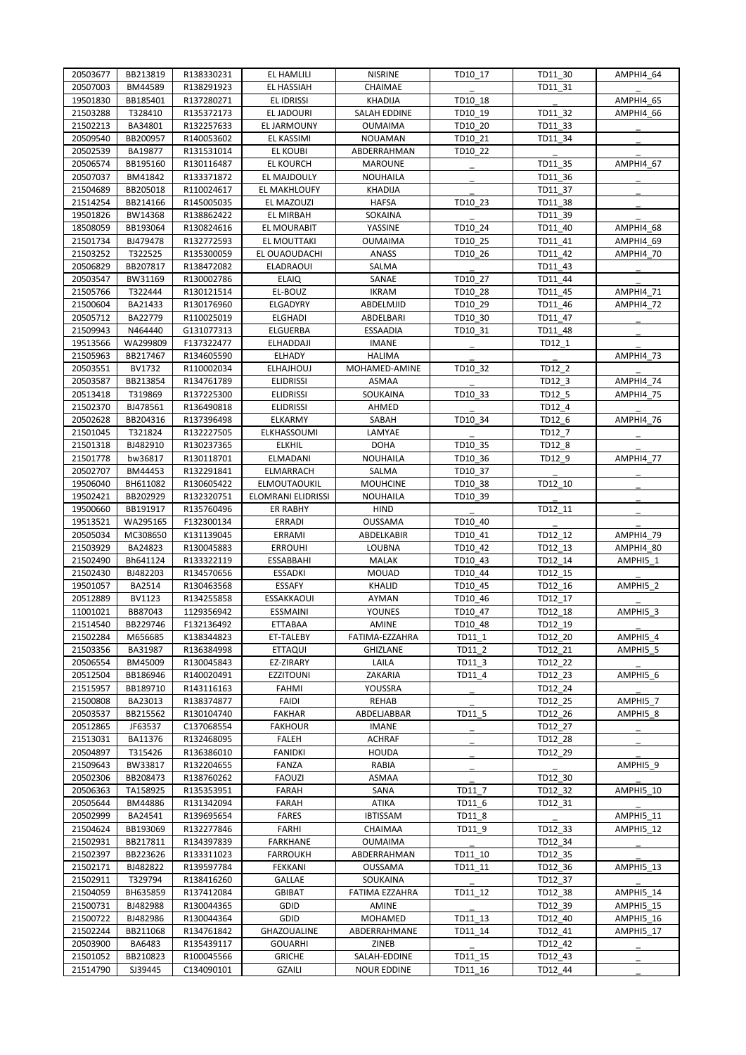| 20503677 | BB213819 | R138330231 | <b>EL HAMLILI</b>  | <b>NISRINE</b>     | TD10 17  | TD11 30 | AMPHI4_64        |
|----------|----------|------------|--------------------|--------------------|----------|---------|------------------|
| 20507003 | BM44589  | R138291923 | EL HASSIAH         | CHAIMAE            |          | TD11 31 |                  |
| 19501830 | BB185401 | R137280271 | EL IDRISSI         | <b>KHADIJA</b>     | TD10 18  |         | <b>AMPHI4 65</b> |
| 21503288 | T328410  | R135372173 | EL JADOURI         | SALAH EDDINE       | TD10 19  | TD11 32 | AMPHI4 66        |
| 21502213 | BA34801  | R132257633 | EL JARMOUNY        | <b>OUMAIMA</b>     | TD10 20  | TD11 33 |                  |
| 20509540 | BB200957 | R140053602 | EL KASSIMI         | <b>NOUAMAN</b>     | TD10 21  | TD11 34 |                  |
| 20502539 | BA19877  | R131531014 | <b>EL KOUBI</b>    | ABDERRAHMAN        | TD10_22  |         |                  |
|          |          |            |                    |                    |          |         |                  |
| 20506574 | BB195160 | R130116487 | <b>EL KOURCH</b>   | <b>MAROUNE</b>     |          | TD11_35 | AMPHI4 67        |
| 20507037 | BM41842  | R133371872 | EL MAJDOULY        | <b>NOUHAILA</b>    |          | TD11 36 |                  |
| 21504689 | BB205018 | R110024617 | EL MAKHLOUFY       | <b>KHADIJA</b>     |          | TD11 37 |                  |
| 21514254 | BB214166 | R145005035 | EL MAZOUZI         | <b>HAFSA</b>       | TD10_23  | TD11_38 |                  |
| 19501826 | BW14368  | R138862422 | EL MIRBAH          | SOKAINA            |          | TD11 39 |                  |
| 18508059 | BB193064 | R130824616 | EL MOURABIT        | YASSINE            | TD10 24  | TD11 40 | AMPHI4 68        |
| 21501734 | BJ479478 | R132772593 | EL MOUTTAKI        | OUMAIMA            | TD10 25  | TD11 41 | AMPHI4 69        |
| 21503252 | T322525  | R135300059 | EL OUAOUDACHI      | <b>ANASS</b>       | TD10 26  | TD11 42 | AMPHI4 70        |
| 20506829 | BB207817 | R138472082 | ELADRAOUI          | SALMA              |          | TD11 43 |                  |
| 20503547 | BW31169  | R130002786 | <b>ELAIQ</b>       | SANAE              | TD10 27  | TD11 44 |                  |
| 21505766 | T322444  | R130121514 | EL-BOUZ            | <b>IKRAM</b>       | TD10 28  | TD11 45 | AMPHI4_71        |
|          |          |            |                    |                    |          |         |                  |
| 21500604 | BA21433  | R130176960 | ELGADYRY           | ABDELMJID          | TD10 29  | TD11 46 | AMPHI4 72        |
| 20505712 | BA22779  | R110025019 | <b>ELGHADI</b>     | ABDELBARI          | TD10 30  | TD11 47 |                  |
| 21509943 | N464440  | G131077313 | ELGUERBA           | <b>ESSAADIA</b>    | TD10_31  | TD11 48 |                  |
| 19513566 | WA299809 | F137322477 | ELHADDAJI          | <b>IMANE</b>       |          | TD12 1  |                  |
| 21505963 | BB217467 | R134605590 | <b>ELHADY</b>      | <b>HALIMA</b>      |          |         | AMPHI4_73        |
| 20503551 | BV1732   | R110002034 | <b>ELHAJHOUJ</b>   | MOHAMED-AMINE      | TD10 32  | TD12 2  |                  |
| 20503587 | BB213854 | R134761789 | <b>ELIDRISSI</b>   | ASMAA              |          | TD12 3  | <b>AMPHI4_74</b> |
| 20513418 | T319869  | R137225300 | <b>ELIDRISSI</b>   | SOUKAINA           | TD10_33  | TD12_5  | AMPHI4_75        |
| 21502370 | BJ478561 | R136490818 | <b>ELIDRISSI</b>   | AHMED              |          | TD12_4  |                  |
| 20502628 | BB204316 | R137396498 | ELKARMY            | SABAH              | TD10 34  | TD12 6  | AMPHI4_76        |
|          |          |            |                    |                    |          |         |                  |
| 21501045 | T321824  | R132227505 | ELKHASSOUMI        | LAMYAE             |          | TD12 7  |                  |
| 21501318 | BJ482910 | R130237365 | <b>ELKHIL</b>      | <b>DOHA</b>        | TD10 35  | TD12 8  |                  |
| 21501778 | bw36817  | R130118701 | ELMADANI           | <b>NOUHAILA</b>    | TD10_36  | TD12_9  | AMPHI4_77        |
| 20502707 | BM44453  | R132291841 | ELMARRACH          | SALMA              | TD10 37  |         |                  |
| 19506040 | BH611082 | R130605422 | ELMOUTAOUKIL       | <b>MOUHCINE</b>    | TD10 38  | TD12 10 |                  |
| 19502421 | BB202929 | R132320751 | ELOMRANI ELIDRISSI | NOUHAILA           | TD10_39  |         |                  |
| 19500660 | BB191917 | R135760496 | <b>ER RABHY</b>    | <b>HIND</b>        |          | TD12_11 |                  |
| 19513521 | WA295165 | F132300134 | <b>ERRADI</b>      | <b>OUSSAMA</b>     | TD10 40  |         |                  |
| 20505034 | MC308650 | K131139045 | ERRAMI             | ABDELKABIR         | TD10 41  | TD12 12 | AMPHI4 79        |
| 21503929 | BA24823  | R130045883 | <b>ERROUHI</b>     | LOUBNA             | TD10 42  | TD12 13 | AMPHI4_80        |
|          | Bh641124 |            |                    |                    |          |         |                  |
| 21502490 |          | R133322119 | <b>ESSABBAHI</b>   | MALAK              | TD10 43  | TD12 14 | AMPHI5 1         |
| 21502430 | BJ482203 | R134570656 | <b>ESSADKI</b>     | <b>MOUAD</b>       | TD10 44  | TD12 15 |                  |
| 19501057 | BA2514   | R130463568 | ESSAFY             | <b>KHALID</b>      | TD10_45  | TD12_16 | AMPHI5_2         |
| 20512889 | BV1123   | R134255858 | <b>ESSAKKAOUI</b>  | AYMAN              | TD10 46  | TD12_17 |                  |
| 11001021 | BB87043  | 1129356942 | <b>ESSMAINI</b>    | YOUNES             | TD10 47  | TD12 18 | AMPHI5_3         |
| 21514540 | BB229746 | F132136492 | ETTABAA            | AMINE              | TD10 48  | TD12 19 |                  |
| 21502284 | M656685  | K138344823 | ET-TALEBY          | FATIMA-EZZAHRA     | $TD11_1$ | TD12_20 | AMPHI5_4         |
| 21503356 | BA31987  | R136384998 | ETTAQUI            | GHIZLANE           | TD11 2   | TD12 21 | AMPHI5 5         |
| 20506554 | BM45009  | R130045843 | EZ-ZIRARY          | LAILA              | TD11_3   | TD12 22 |                  |
| 20512504 | BB186946 | R140020491 | <b>EZZITOUNI</b>   | ZAKARIA            | TD11 4   | TD12 23 |                  |
|          |          |            |                    |                    |          |         | AMPHI5_6         |
| 21515957 | BB189710 | R143116163 | FAHMI              | YOUSSRA            |          | TD12 24 |                  |
| 21500808 | BA23013  | R138374877 | <b>FAIDI</b>       | REHAB              |          | TD12_25 | AMPHI5 7         |
| 20503537 | BB215562 | R130104740 | FAKHAR             | ABDELJABBAR        | TD11_5   | TD12_26 | AMPHI5_8         |
| 20512865 | JF63537  | C137068554 | <b>FAKHOUR</b>     | <b>IMANE</b>       |          | TD12 27 |                  |
| 21513031 | BA11376  | R132468095 | FALEH              | <b>ACHRAF</b>      |          | TD12 28 |                  |
| 20504897 | T315426  | R136386010 | <b>FANIDKI</b>     | <b>HOUDA</b>       |          | TD12_29 |                  |
| 21509643 | BW33817  | R132204655 | FANZA              | RABIA              |          |         | AMPHI5 9         |
| 20502306 | BB208473 | R138760262 | <b>FAOUZI</b>      | ASMAA              |          | TD12_30 |                  |
| 20506363 | TA158925 | R135353951 | FARAH              | SANA               | TD11 7   | TD12_32 | AMPHI5_10        |
| 20505644 | BM44886  | R131342094 | FARAH              | ATIKA              | TD11 6   | TD12_31 |                  |
| 20502999 | BA24541  | R139695654 | <b>FARES</b>       | <b>IBTISSAM</b>    | TD11_8   |         | AMPHI5_11        |
| 21504624 | BB193069 | R132277846 | FARHI              | CHAIMAA            | TD11 9   | TD12_33 | AMPHI5 12        |
|          |          |            |                    |                    |          |         |                  |
| 21502931 | BB217811 | R134397839 | <b>FARKHANE</b>    | OUMAIMA            |          | TD12_34 |                  |
| 21502397 | BB223626 | R133311023 | <b>FARROUKH</b>    | ABDERRAHMAN        | TD11_10  | TD12_35 |                  |
| 21502171 | BJ482822 | R139597784 | FEKKANI            | OUSSAMA            | TD11 11  | TD12 36 | AMPHI5 13        |
| 21502911 | T329794  | R138416260 | GALLAE             | SOUKAINA           |          | TD12_37 |                  |
| 21504059 | BH635859 | R137412084 | <b>GBIBAT</b>      | FATIMA EZZAHRA     | TD11 12  | TD12 38 | AMPHI5_14        |
| 21500731 | BJ482988 | R130044365 | GDID               | AMINE              |          | TD12 39 | AMPHI5_15        |
| 21500722 | BJ482986 | R130044364 | GDID               | <b>MOHAMED</b>     | TD11_13  | TD12_40 | AMPHI5_16        |
| 21502244 | BB211068 | R134761842 | GHAZOUALINE        | ABDERRAHMANE       | TD11 14  | TD12_41 | AMPHI5_17        |
| 20503900 | BA6483   | R135439117 | <b>GOUARHI</b>     | ZINEB              |          | TD12_42 |                  |
| 21501052 | BB210823 | R100045566 | <b>GRICHE</b>      | SALAH-EDDINE       | TD11_15  | TD12 43 |                  |
|          |          |            |                    |                    |          |         |                  |
| 21514790 | SJ39445  | C134090101 | GZAILI             | <b>NOUR EDDINE</b> | TD11_16  | TD12_44 |                  |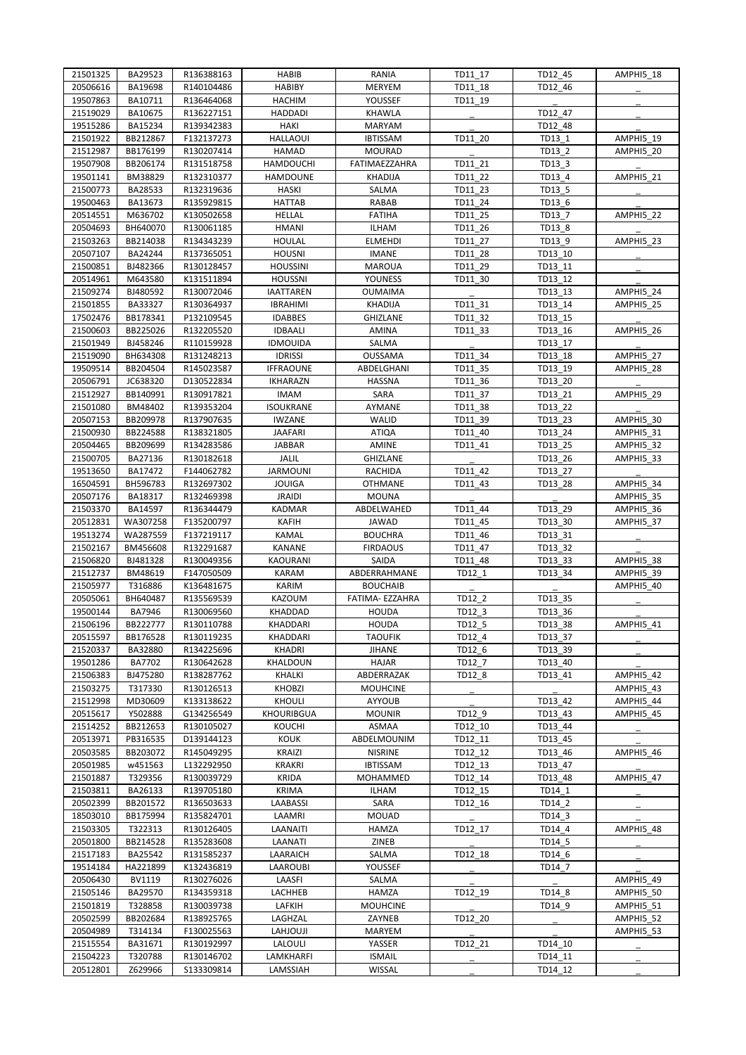| 21501325             | BA29523             | R136388163               | <b>HABIB</b>                    | RANIA                      | TD11 17            | TD12 45            | AMPHI5 18 |
|----------------------|---------------------|--------------------------|---------------------------------|----------------------------|--------------------|--------------------|-----------|
| 20506616             | BA19698             | R140104486               | <b>HABIBY</b>                   | <b>MERYEM</b>              | TD11 18            | TD12 46            |           |
| 19507863             | BA10711             | R136464068               | <b>HACHIM</b>                   | YOUSSEF                    | TD11 19            |                    |           |
| 21519029             | BA10675             | R136227151               | <b>HADDADI</b>                  | <b>KHAWLA</b>              |                    | TD12 47            |           |
| 19515286             | BA15234             | R139342383               | <b>HAKI</b>                     | <b>MARYAM</b>              |                    | TD12 48            |           |
| 21501922             | BB212867            | F132137273               | <b>HALLAOUI</b>                 | <b>IBTISSAM</b>            | TD11 20            | TD13 1             | AMPHI5_19 |
| 21512987             | BB176199            | R130207414               | <b>HAMAD</b>                    | <b>MOURAD</b>              |                    | TD13 2             | AMPHI5_20 |
| 19507908             | BB206174            | R131518758               | <b>HAMDOUCHI</b>                | FATIMAEZZAHRA              | TD11 21            | TD13_3             |           |
| 19501141             | BM38829             | R132310377               | HAMDOUNE                        | KHADIJA                    | TD11 22            | TD13 4             | AMPHI5 21 |
| 21500773             | BA28533             | R132319636               | <b>HASKI</b>                    | SALMA                      | TD11 23            | TD13 5             |           |
| 19500463             | BA13673             | R135929815               | <b>HATTAB</b>                   | RABAB                      | TD11 24            | TD13_6             |           |
| 20514551             | M636702             | K130502658               | <b>HELLAL</b>                   | <b>FATIHA</b>              | TD11 25            | TD13 7             | AMPHI5 22 |
| 20504693             | BH640070            | R130061185               | <b>HMANI</b>                    | ILHAM                      | TD11 26            | TD13_8             |           |
| 21503263             | BB214038            | R134343239               | HOULAL                          | <b>ELMEHDI</b>             | TD11 27            | TD13_9             | AMPHI5 23 |
| 20507107             | BA24244             | R137365051               | <b>HOUSNI</b>                   | <b>IMANE</b>               | TD11 28            | TD13 10            |           |
| 21500851             | BJ482366            | R130128457               | <b>HOUSSINI</b>                 | <b>MAROUA</b>              | TD11 29            | TD13 11            |           |
| 20514961             | M643580             | K131511894               | <b>HOUSSNI</b>                  | YOUNESS                    | TD11 30            | TD13 12            |           |
| 21509274             | BJ480592            | R130072046               | <b>IAATTAREN</b>                | <b>OUMAIMA</b>             |                    | TD13_13            | AMPHI5_24 |
| 21501855             | BA33327             | R130364937               | <b>IBRAHIMI</b>                 | <b>KHADIJA</b>             | TD11 31            | TD13 14            | AMPHI5 25 |
| 17502476             | BB178341            | P132109545               | <b>IDABBES</b>                  | GHIZLANE                   | TD11 32            | TD13 15            |           |
| 21500603             | BB225026            | R132205520               | <b>IDBAALI</b>                  | AMINA                      | TD11_33            | TD13_16            | AMPHI5 26 |
| 21501949             | BJ458246            | R110159928               | <b>IDMOUIDA</b>                 | <b>SALMA</b>               |                    | TD13 17            |           |
| 21519090             | BH634308            | R131248213               | <b>IDRISSI</b>                  | OUSSAMA                    | TD11 34            | TD13 18            | AMPHI5 27 |
| 19509514             | BB204504            | R145023587               | <b>IFFRAOUNE</b>                | ABDELGHANI                 | TD11 35            | TD13_19            | AMPHI5_28 |
| 20506791             | JC638320            | D130522834               | <b>IKHARAZN</b>                 | <b>HASSNA</b>              | TD11 36            | TD13 20            |           |
| 21512927             | BB140991            | R130917821               | <b>IMAM</b>                     | SARA                       | TD11 37            | TD13 21            | AMPHI5 29 |
| 21501080             | BM48402             | R139353204               | <b>ISOUKRANE</b>                | AYMANE                     | TD11_38            | TD13 22            |           |
| 20507153             | BB209978            | R137907635               | <b>IWZANE</b>                   | <b>WALID</b>               | TD11 39            | TD13 23            | AMPHI5_30 |
| 21500930             | BB224588            | R138321805               | <b>JAAFARI</b>                  | <b>ATIQA</b>               | TD11 40            | TD13 24            | AMPHI5_31 |
| 20504465             | BB209699            | R134283586               | JABBAR                          | AMINE                      | TD11 41            | TD13 25            | AMPHI5 32 |
| 21500705             | BA27136             | R130182618               | JALIL                           | GHIZLANE                   |                    | TD13_26            | AMPHI5 33 |
| 19513650             | BA17472             | F144062782               | <b>JARMOUNI</b>                 | <b>RACHIDA</b>             | TD11 42            | TD13 27            |           |
| 16504591             | BH596783            | R132697302               | <b>JOUIGA</b>                   | <b>OTHMANE</b>             | TD11 43            | TD13 28            | AMPHI5_34 |
| 20507176             | BA18317             | R132469398               | <b>JRAIDI</b>                   | <b>MOUNA</b>               |                    |                    | AMPHI5_35 |
| 21503370             | BA14597             | R136344479               | <b>KADMAR</b><br>KAFIH          | ABDELWAHED<br><b>JAWAD</b> | TD11 44<br>TD11 45 | TD13 29            | AMPHI5_36 |
| 20512831             | WA307258            | F135200797               |                                 |                            |                    | TD13 30            | AMPHI5 37 |
| 19513274             | WA287559            | F137219117               | <b>KAMAL</b>                    | <b>BOUCHRA</b>             | TD11 46            | TD13 31            |           |
| 21502167             | BM456608            | R132291687<br>R130049356 | KANANE                          | <b>FIRDAOUS</b><br>SAIDA   | TD11 47            | TD13 32            | AMPHI5_38 |
| 21506820<br>21512737 | BJ481328<br>BM48619 | F147050509               | <b>KAOURANI</b><br><b>KARAM</b> | ABDERRAHMANE               | TD11 48<br>TD12 1  | TD13_33<br>TD13 34 | AMPHI5_39 |
| 21505977             | T316886             | K136481675               | <b>KARIM</b>                    | <b>BOUCHAIB</b>            |                    |                    | AMPHI5 40 |
| 20505061             | BH640487            | R135569539               | <b>KAZOUM</b>                   | FATIMA- EZZAHRA            | TD12 2             | TD13 35            |           |
| 19500144             | BA7946              | R130069560               | KHADDAD                         | <b>HOUDA</b>               | TD12 3             | TD13 36            |           |
| 21506196             | BB222777            | R130110788               | KHADDARI                        | <b>HOUDA</b>               | TD12 5             | TD13 38            | AMPHI5 41 |
| 20515597             | BB176528            | R130119235               | KHADDARI                        | <b>TAOUFIK</b>             | TD12 4             | TD13 37            |           |
| 21520337             | BA32880             | R134225696               | <b>KHADRI</b>                   | <b>JIHANE</b>              | TD12 6             | TD13 39            |           |
| 19501286             | BA7702              | R130642628               | KHALDOUN                        | HAJAR                      | TD12 7             | TD13 40            |           |
| 21506383             | BJ475280            | R138287762               | KHALKI                          | ABDERRAZAK                 | TD12_8             | TD13 41            | AMPHI5_42 |
| 21503275             | T317330             | R130126513               | <b>KHOBZI</b>                   | <b>MOUHCINE</b>            |                    |                    | AMPHI5_43 |
| 21512998             | MD30609             | K133138622               | <b>KHOULI</b>                   | AYYOUB                     |                    | TD13 42            | AMPHI5 44 |
| 20515617             | Y502888             | G134256549               | KHOURIBGUA                      | <b>MOUNIR</b>              | TD12 9             | TD13_43            | AMPHI5_45 |
| 21514252             | BB212653            | R130105027               | KOUCHI                          | ASMAA                      | TD12 10            | TD13 44            |           |
| 20513971             | PB316535            | D139144123               | KOUK                            | ABDELMOUNIM                | TD12 11            | TD13 45            |           |
| 20503585             | BB203072            | R145049295               | <b>KRAIZI</b>                   | <b>NISRINE</b>             | TD12_12            | TD13_46            | AMPHI5 46 |
| 20501985             | w451563             | L132292950               | <b>KRAKRI</b>                   | <b>IBTISSAM</b>            | TD12_13            | TD13_47            |           |
| 21501887             | T329356             | R130039729               | <b>KRIDA</b>                    | MOHAMMED                   | TD12 14            | TD13 48            | AMPHI5 47 |
| 21503811             | BA26133             | R139705180               | <b>KRIMA</b>                    | <b>ILHAM</b>               | TD12_15            | TD14_1             |           |
| 20502399             | BB201572            | R136503633               | LAABASSI                        | SARA                       | TD12_16            | TD14_2             |           |
| 18503010             | BB175994            | R135824701               | LAAMRI                          | <b>MOUAD</b>               |                    | TD14_3             |           |
| 21503305             | T322313             | R130126405               | LAANAITI                        | HAMZA                      | TD12 17            | TD14 4             | AMPHI5 48 |
| 20501800             | BB214528            | R135283608               | LAANATI                         | ZINEB                      |                    | TD14_5             |           |
| 21517183             | BA25542             | R131585237               | LAARAICH                        | SALMA                      | TD12 18            | TD14 6             |           |
| 19514184             | HA221899            | K132436819               | LAAROUBI                        | YOUSSEF                    |                    | TD14 7             |           |
| 20506430             | BV1119              | R130276026               | LAASFI                          | SALMA                      |                    |                    | AMPHI5_49 |
| 21505146             | BA29570             | R134359318               | LACHHEB                         | HAMZA                      | TD12 19            | TD14 8             | AMPHI5_50 |
| 21501819             | T328858             | R130039738               | LAFKIH                          | <b>MOUHCINE</b>            |                    | TD14 9             | AMPHI5_51 |
| 20502599             | BB202684            | R138925765               | LAGHZAL                         | ZAYNEB                     | TD12 20            |                    | AMPHI5 52 |
| 20504989             | T314134             | F130025563               | LAHJOUJI                        | MARYEM                     |                    |                    | AMPHI5_53 |
| 21515554             | BA31671             | R130192997               | LALOULI                         | YASSER                     | TD12_21            | TD14 10            |           |
| 21504223             | T320788             | R130146702               | LAMKHARFI                       | <b>ISMAIL</b>              |                    | TD14 11            |           |
| 20512801             | Z629966             | \$133309814              | LAMSSIAH                        | WISSAL                     |                    | TD14_12            |           |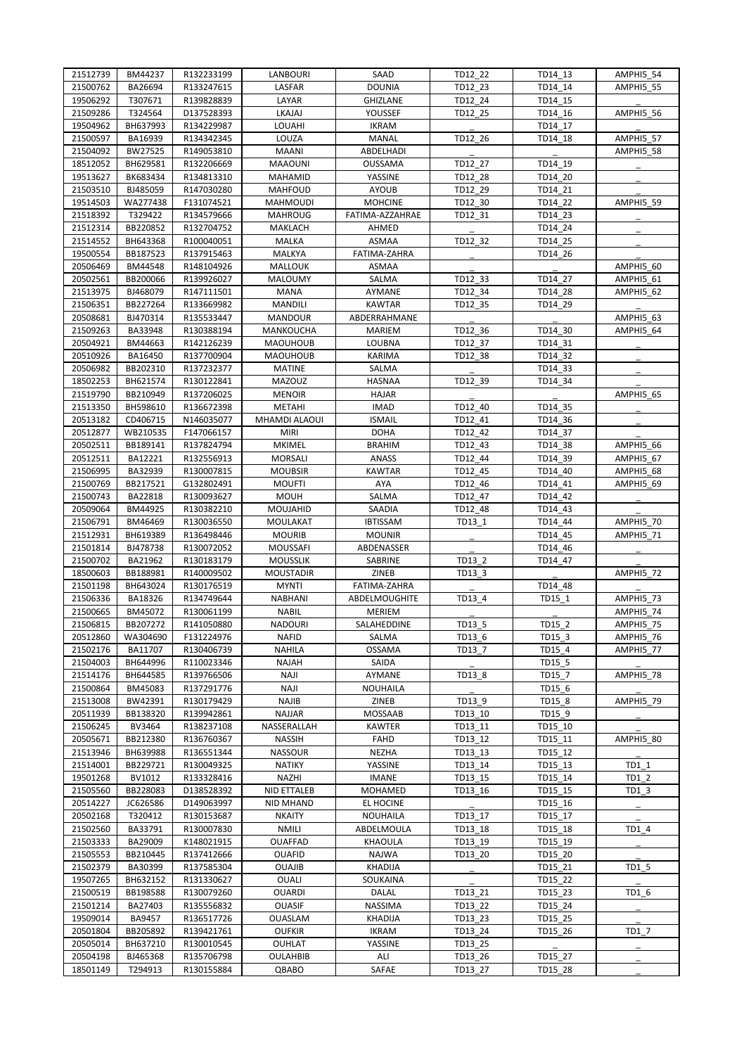| 21512739 | BM44237  | R132233199 | LANBOURI           | SAAD            | TD12 22 | TD14 13 | AMPHI5_54 |
|----------|----------|------------|--------------------|-----------------|---------|---------|-----------|
| 21500762 | BA26694  | R133247615 | LASFAR             | <b>DOUNIA</b>   | TD12 23 | TD14 14 | AMPHI5_55 |
| 19506292 | T307671  | R139828839 | LAYAR              | GHIZLANE        | TD12 24 | TD14 15 |           |
| 21509286 | T324564  | D137528393 | LKAJAJ             | YOUSSEF         | TD12 25 | TD14_16 | AMPHI5_56 |
| 19504962 | BH637993 | R134229987 | <b>LOUAHI</b>      | <b>IKRAM</b>    |         | TD14 17 |           |
| 21500597 | BA16939  | R134342345 | LOUZA              | MANAL           | TD12 26 | TD14 18 | AMPHI5_57 |
| 21504092 | BW27525  | R149053810 | <b>MAANI</b>       | ABDELHADI       |         |         | AMPHI5_58 |
| 18512052 | BH629581 | R132206669 | <b>MAAOUNI</b>     | OUSSAMA         | TD12 27 | TD14 19 |           |
| 19513627 | BK683434 | R134813310 | MAHAMID            | YASSINE         | TD12 28 | TD14 20 |           |
| 21503510 | BJ485059 | R147030280 | <b>MAHFOUD</b>     | <b>AYOUB</b>    | TD12 29 | TD14 21 |           |
| 19514503 | WA277438 | F131074521 | MAHMOUDI           | <b>MOHCINE</b>  | TD12_30 | TD14_22 | AMPHI5 59 |
| 21518392 | T329422  | R134579666 | <b>MAHROUG</b>     | FATIMA-AZZAHRAE | TD12 31 | TD14 23 |           |
| 21512314 | BB220852 | R132704752 | MAKLACH            | AHMED           |         | TD14 24 |           |
| 21514552 | BH643368 | R100040051 | MALKA              | ASMAA           | TD12 32 | TD14 25 |           |
| 19500554 | BB187523 | R137915463 | MALKYA             | FATIMA-ZAHRA    |         | TD14 26 |           |
| 20506469 | BM44548  | R148104926 | <b>MALLOUK</b>     | ASMAA           |         |         | AMPHI5_60 |
| 20502561 | BB200066 | R139926027 | <b>MALOUMY</b>     | SALMA           | TD12 33 | TD14 27 | AMPHI5_61 |
| 21513975 | BJ468079 | R147111501 | <b>MANA</b>        | AYMANE          | TD12 34 | TD14 28 | AMPHI5 62 |
| 21506351 | BB227264 | R133669982 | <b>MANDILI</b>     | <b>KAWTAR</b>   | TD12 35 | TD14 29 |           |
| 20508681 | BJ470314 | R135533447 | <b>MANDOUR</b>     | ABDERRAHMANE    |         |         | AMPHI5 63 |
|          | BA33948  |            |                    | <b>MARIEM</b>   | TD12 36 | TD14 30 | AMPHI5 64 |
| 21509263 |          | R130388194 | MANKOUCHA          |                 |         |         |           |
| 20504921 | BM44663  | R142126239 | <b>MAOUHOUB</b>    | LOUBNA          | TD12 37 | TD14_31 |           |
| 20510926 | BA16450  | R137700904 | <b>MAOUHOUB</b>    | <b>KARIMA</b>   | TD12 38 | TD14 32 |           |
| 20506982 | BB202310 | R137232377 | <b>MATINE</b>      | SALMA           |         | TD14_33 |           |
| 18502253 | BH621574 | R130122841 | <b>MAZOUZ</b>      | <b>HASNAA</b>   | TD12 39 | TD14 34 |           |
| 21519790 | BB210949 | R137206025 | <b>MENOIR</b>      | <b>HAJAR</b>    |         |         | AMPHI5 65 |
| 21513350 | BH598610 | R136672398 | METAHI             | <b>IMAD</b>     | TD12_40 | TD14_35 |           |
| 20513182 | CD406715 | N146035077 | MHAMDI ALAOUI      | <b>ISMAIL</b>   | TD12 41 | TD14 36 |           |
| 20512877 | WB210535 | F147066157 | <b>MIRI</b>        | <b>DOHA</b>     | TD12_42 | TD14 37 |           |
| 20502511 | BB189141 | R137824794 | <b>MKIMEL</b>      | <b>BRAHIM</b>   | TD12 43 | TD14_38 | AMPHI5 66 |
| 20512511 | BA12221  | R132556913 | <b>MORSALI</b>     | ANASS           | TD12 44 | TD14_39 | AMPHI5_67 |
| 21506995 | BA32939  | R130007815 | <b>MOUBSIR</b>     | <b>KAWTAR</b>   | TD12 45 | TD14_40 | AMPHI5_68 |
| 21500769 | BB217521 | G132802491 | <b>MOUFTI</b>      | AYA             | TD12 46 | TD14 41 | AMPHI5_69 |
| 21500743 | BA22818  | R130093627 | <b>MOUH</b>        | SALMA           | TD12_47 | TD14 42 |           |
| 20509064 | BM44925  | R130382210 | MOUJAHID           | SAADIA          | TD12 48 | TD14_43 |           |
| 21506791 | BM46469  | R130036550 | MOULAKAT           | <b>IBTISSAM</b> | TD13 1  | TD14 44 | AMPHI5 70 |
| 21512931 | BH619389 | R136498446 | <b>MOURIB</b>      | <b>MOUNIR</b>   |         | TD14 45 | AMPHI5 71 |
| 21501814 | BJ478738 | R130072052 | <b>MOUSSAFI</b>    | ABDENASSER      |         | TD14_46 |           |
| 21500702 | BA21962  | R130183179 | <b>MOUSSLIK</b>    | SABRINE         | TD13 2  | TD14 47 |           |
| 18500603 | BB188981 | R140009502 | <b>MOUSTADIR</b>   | ZINEB           | TD13 3  |         | AMPHI5 72 |
| 21501198 | BH643024 | R130176519 | <b>MYNTI</b>       | FATIMA-ZAHRA    |         | TD14 48 |           |
| 21506336 | BA18326  | R134749644 | <b>NABHANI</b>     | ABDELMOUGHITE   | TD13_4  | TD15 1  | AMPHI5 73 |
| 21500665 | BM45072  | R130061199 | <b>NABIL</b>       | <b>MERIEM</b>   |         |         | AMPHI5 74 |
| 21506815 | BB207272 | R141050880 | <b>NADOURI</b>     | SALAHEDDINE     | TD13 5  | TD15 2  | AMPHI5 75 |
| 20512860 | WA304690 | F131224976 | <b>NAFID</b>       | SALMA           | TD13_6  | TD15_3  | AMPHI5 76 |
| 21502176 | BA11707  | R130406739 | <b>NAHILA</b>      | <b>OSSAMA</b>   | TD13 7  | TD15 4  | AMPHI5 77 |
| 21504003 | BH644996 | R110023346 | NAJAH              | SAIDA           |         | TD15_5  |           |
| 21514176 | BH644585 | R139766506 | <b>NAJI</b>        | AYMANE          | TD13_8  | TD15_7  | AMPHI5_78 |
| 21500864 | BM45083  | R137291776 | <b>NAJI</b>        | <b>NOUHAILA</b> |         | TD15 6  |           |
| 21513008 | BW42391  | R130179429 | <b>NAJIB</b>       | ZINEB           | TD13_9  | TD15_8  | AMPHI5 79 |
| 20511939 | BB138320 | R139942861 | NAJJAR             | MOSSAAB         | TD13 10 | TD15_9  |           |
| 21506245 | BV3464   | R138237108 | NASSERALLAH        | <b>KAWTER</b>   | TD13 11 | TD15_10 |           |
| 20505671 | BB212380 | R136760367 | <b>NASSIH</b>      | FAHD            | TD13 12 | TD15 11 | AMPHI5 80 |
| 21513946 | BH639988 | R136551344 | <b>NASSOUR</b>     | NEZHA           | TD13_13 | TD15_12 |           |
| 21514001 | BB229721 | R130049325 | <b>NATIKY</b>      | YASSINE         | TD13_14 | TD15_13 | $TD1_1$   |
| 19501268 | BV1012   | R133328416 | NAZHI              | <b>IMANE</b>    | TD13 15 | TD15 14 | TD1 2     |
| 21505560 | BB228083 | D138528392 | <b>NID ETTALEB</b> | MOHAMED         |         | TD15_15 |           |
| 20514227 | JC626586 |            |                    |                 | TD13_16 |         | $TD1_3$   |
|          |          | D149063997 | NID MHAND          | EL HOCINE       |         | TD15_16 |           |
| 20502168 | T320412  | R130153687 | <b>NKAITY</b>      | <b>NOUHAILA</b> | TD13 17 | TD15_17 |           |
| 21502560 | BA33791  | R130007830 | <b>NMILI</b>       | ABDELMOULA      | TD13 18 | TD15_18 | TD1 4     |
| 21503333 | BA29009  | K148021915 | <b>OUAFFAD</b>     | KHAOULA         | TD13_19 | TD15_19 |           |
| 21505553 | BB210445 | R137412666 | <b>OUAFID</b>      | <b>NAJWA</b>    | TD13 20 | TD15_20 |           |
| 21502379 | BA30399  | R137585304 | <b>OUAJIB</b>      | KHADIJA         |         | TD15 21 | $TD1_5$   |
| 19507265 | BH632152 | R131330627 | <b>OUALI</b>       | SOUKAINA        |         | TD15_22 |           |
| 21500519 | BB198588 | R130079260 | <b>OUARDI</b>      | DALAL           | TD13 21 | TD15 23 | TD1 6     |
| 21501214 | BA27403  | R135556832 | <b>OUASIF</b>      | NASSIMA         | TD13 22 | TD15 24 |           |
| 19509014 | BA9457   | R136517726 | OUASLAM            | KHADIJA         | TD13_23 | TD15_25 |           |
| 20501804 | BB205892 | R139421761 | <b>OUFKIR</b>      | IKRAM           | TD13_24 | TD15_26 | TD1 7     |
| 20505014 | BH637210 | R130010545 | OUHLAT             | YASSINE         | TD13 25 |         |           |
| 20504198 | BJ465368 | R135706798 | <b>OULAHBIB</b>    | ALI             | TD13_26 | TD15_27 |           |
| 18501149 | T294913  | R130155884 | QBABO              | SAFAE           | TD13_27 | TD15_28 |           |